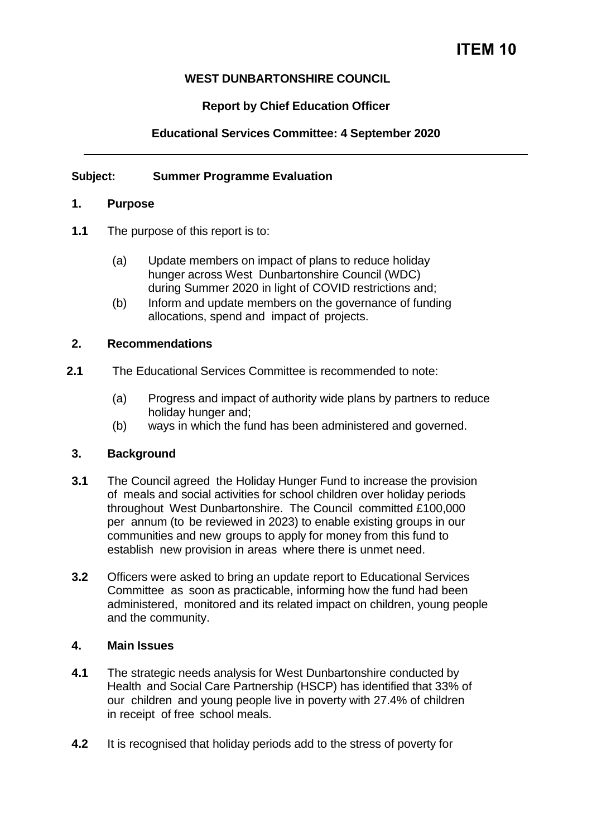# **WEST DUNBARTONSHIRE COUNCIL**

# **Report by Chief Education Officer**

# **Educational Services Committee: 4 September 2020**

## **Subject: Summer Programme Evaluation**

## **1. Purpose**

- **1.1** The purpose of this report is to:
	- (a) Update members on impact of plans to reduce holiday hunger across West Dunbartonshire Council (WDC) during Summer 2020 in light of COVID restrictions and;
	- (b) Inform and update members on the governance of funding allocations, spend and impact of projects.

#### **2. Recommendations**

- **2.1** The Educational Services Committee is recommended to note:
	- (a) Progress and impact of authority wide plans by partners to reduce holiday hunger and;
	- (b) ways in which the fund has been administered and governed.

## **3. Background**

- **3.1** The Council agreed the Holiday Hunger Fund to increase the provision of meals and social activities for school children over holiday periods throughout West Dunbartonshire. The Council committed £100,000 per annum (to be reviewed in 2023) to enable existing groups in our communities and new groups to apply for money from this fund to establish new provision in areas where there is unmet need.
- **3.2** Officers were asked to bring an update report to Educational Services Committee as soon as practicable, informing how the fund had been administered, monitored and its related impact on children, young people and the community.

#### **4. Main Issues**

- **4.1** The strategic needs analysis for West Dunbartonshire conducted by Health and Social Care Partnership (HSCP) has identified that 33% of our children and young people live in poverty with 27.4% of children in receipt of free school meals.
- **4.2** It is recognised that holiday periods add to the stress of poverty for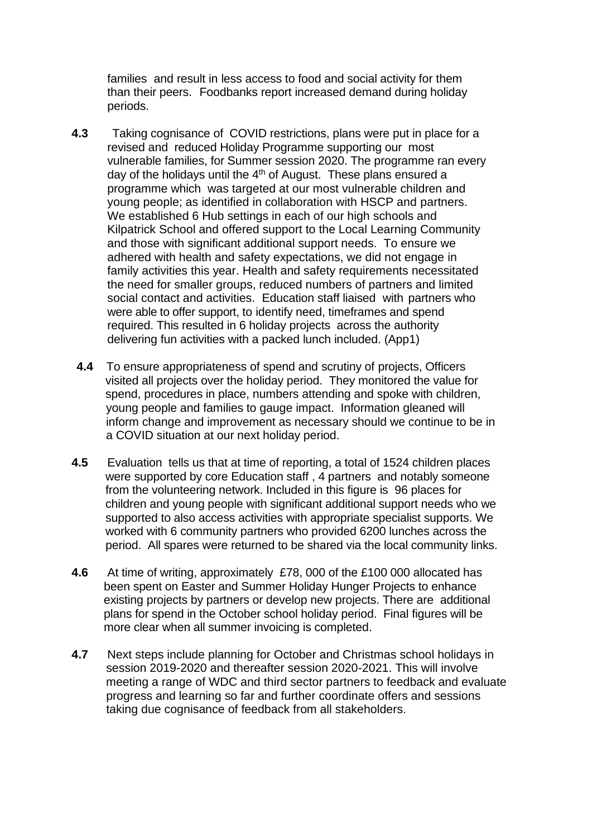families and result in less access to food and social activity for them than their peers. Foodbanks report increased demand during holiday periods.

- **4.3** Taking cognisance of COVID restrictions, plans were put in place for a revised and reduced Holiday Programme supporting our most vulnerable families, for Summer session 2020. The programme ran every day of the holidays until the  $4<sup>th</sup>$  of August. These plans ensured a programme which was targeted at our most vulnerable children and young people; as identified in collaboration with HSCP and partners. We established 6 Hub settings in each of our high schools and Kilpatrick School and offered support to the Local Learning Community and those with significant additional support needs. To ensure we adhered with health and safety expectations, we did not engage in family activities this year. Health and safety requirements necessitated the need for smaller groups, reduced numbers of partners and limited social contact and activities. Education staff liaised with partners who were able to offer support, to identify need, timeframes and spend required. This resulted in 6 holiday projects across the authority delivering fun activities with a packed lunch included. (App1)
- **4.4** To ensure appropriateness of spend and scrutiny of projects, Officers visited all projects over the holiday period. They monitored the value for spend, procedures in place, numbers attending and spoke with children, young people and families to gauge impact. Information gleaned will inform change and improvement as necessary should we continue to be in a COVID situation at our next holiday period.
- **4.5** Evaluation tells us that at time of reporting, a total of 1524 children places were supported by core Education staff , 4 partners and notably someone from the volunteering network. Included in this figure is 96 places for children and young people with significant additional support needs who we supported to also access activities with appropriate specialist supports. We worked with 6 community partners who provided 6200 lunches across the period. All spares were returned to be shared via the local community links.
- **4.6** At time of writing, approximately £78, 000 of the £100 000 allocated has been spent on Easter and Summer Holiday Hunger Projects to enhance existing projects by partners or develop new projects. There are additional plans for spend in the October school holiday period. Final figures will be more clear when all summer invoicing is completed.
- **4.7** Next steps include planning for October and Christmas school holidays in session 2019-2020 and thereafter session 2020-2021. This will involve meeting a range of WDC and third sector partners to feedback and evaluate progress and learning so far and further coordinate offers and sessions taking due cognisance of feedback from all stakeholders.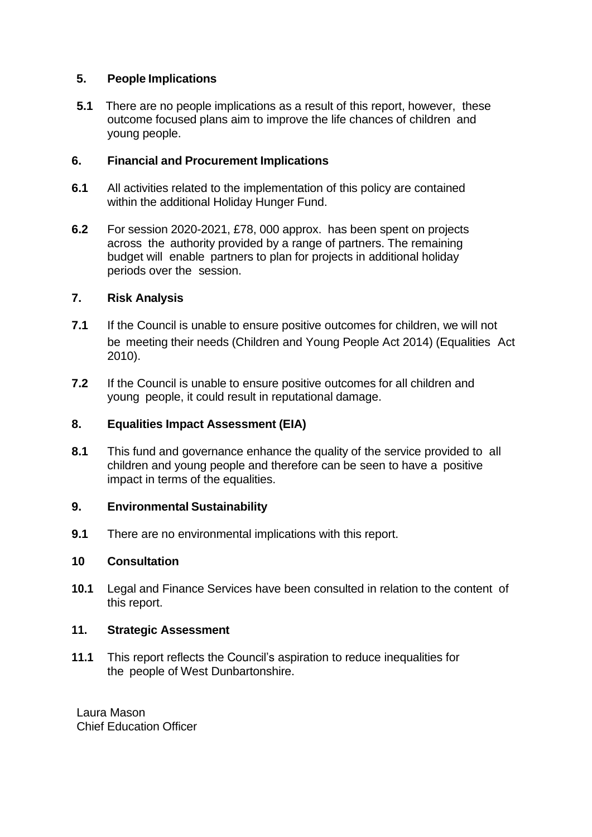## **5. People Implications**

**5.1** There are no people implications as a result of this report, however, these outcome focused plans aim to improve the life chances of children and young people.

# **6. Financial and Procurement Implications**

- **6.1** All activities related to the implementation of this policy are contained within the additional Holiday Hunger Fund.
- **6.2** For session 2020-2021, £78, 000 approx. has been spent on projects across the authority provided by a range of partners. The remaining budget will enable partners to plan for projects in additional holiday periods over the session.

# **7. Risk Analysis**

- **7.1** If the Council is unable to ensure positive outcomes for children, we will not be meeting their needs (Children and Young People Act 2014) (Equalities Act 2010).
- **7.2** If the Council is unable to ensure positive outcomes for all children and young people, it could result in reputational damage.

## **8. Equalities Impact Assessment (EIA)**

**8.1** This fund and governance enhance the quality of the service provided to all children and young people and therefore can be seen to have a positive impact in terms of the equalities.

## **9. Environmental Sustainability**

**9.1** There are no environmental implications with this report.

## **10 Consultation**

**10.1** Legal and Finance Services have been consulted in relation to the content of this report.

## **11. Strategic Assessment**

**11.1** This report reflects the Council's aspiration to reduce inequalities for the people of West Dunbartonshire.

Laura Mason Chief Education Officer